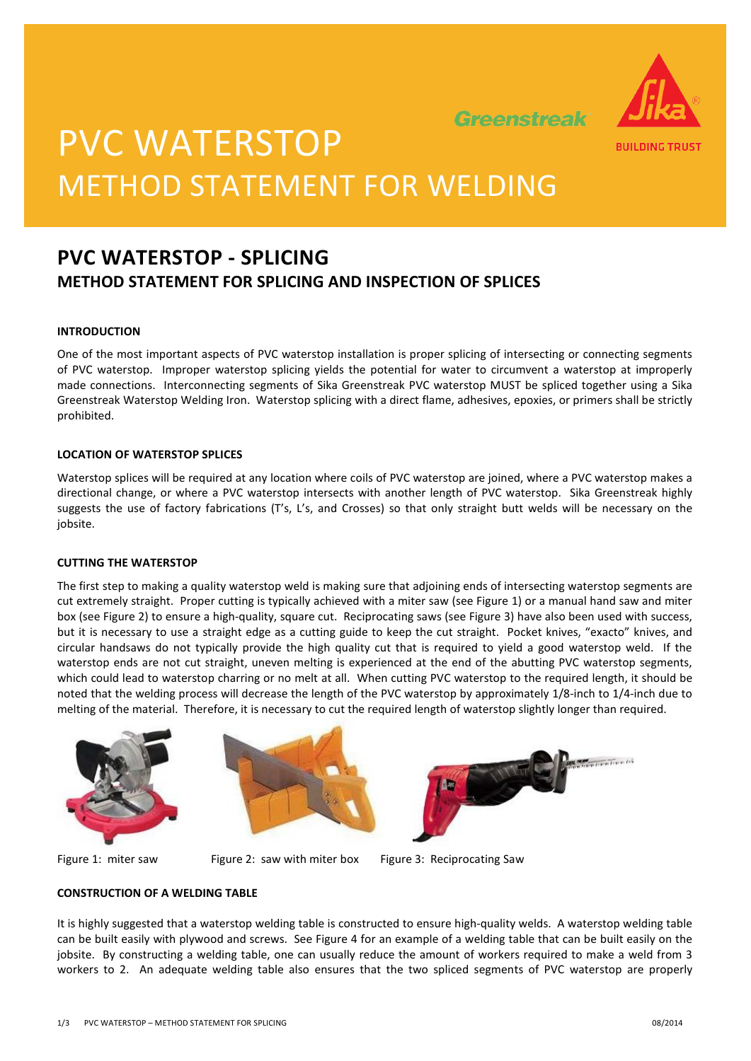

Greenstreak

# PVC WATERSTOP METHOD STATEMENT FOR WELDING

### **PVC WATERSTOP - SPLICING METHOD STATEMENT FOR SPLICING AND INSPECTION OF SPLICES**

### **INTRODUCTION**

One of the most important aspects of PVC waterstop installation is proper splicing of intersecting or connecting segments of PVC waterstop. Improper waterstop splicing yields the potential for water to circumvent a waterstop at improperly made connections. Interconnecting segments of Sika Greenstreak PVC waterstop MUST be spliced together using a Sika Greenstreak Waterstop Welding Iron. Waterstop splicing with a direct flame, adhesives, epoxies, or primers shall be strictly prohibited.

### **LOCATION OF WATERSTOP SPLICES**

Waterstop splices will be required at any location where coils of PVC waterstop are joined, where a PVC waterstop makes a directional change, or where a PVC waterstop intersects with another length of PVC waterstop. Sika Greenstreak highly suggests the use of factory fabrications (T's, L's, and Crosses) so that only straight butt welds will be necessary on the iobsite.

### **CUTTING THE WATERSTOP**

The first step to making a quality waterstop weld is making sure that adjoining ends of intersecting waterstop segments are cut extremely straight. Proper cutting is typically achieved with a miter saw (see Figure 1) or a manual hand saw and miter box (see Figure 2) to ensure a high-quality, square cut. Reciprocating saws (see Figure 3) have also been used with success, but it is necessary to use a straight edge as a cutting guide to keep the cut straight. Pocket knives, "exacto" knives, and circular handsaws do not typically provide the high quality cut that is required to yield a good waterstop weld. If the waterstop ends are not cut straight, uneven melting is experienced at the end of the abutting PVC waterstop segments, which could lead to waterstop charring or no melt at all. When cutting PVC waterstop to the required length, it should be noted that the welding process will decrease the length of the PVC waterstop by approximately 1/8-inch to 1/4-inch due to melting of the material. Therefore, it is necessary to cut the required length of waterstop slightly longer than required.





Figure 1: miter saw Figure 2: saw with miter box Figure 3: Reciprocating Saw

### **CONSTRUCTION OF A WELDING TABLE**

It is highly suggested that a waterstop welding table is constructed to ensure high-quality welds. A waterstop welding table can be built easily with plywood and screws. See Figure 4 for an example of a welding table that can be built easily on the jobsite. By constructing a welding table, one can usually reduce the amount of workers required to make a weld from 3 workers to 2. An adequate welding table also ensures that the two spliced segments of PVC waterstop are properly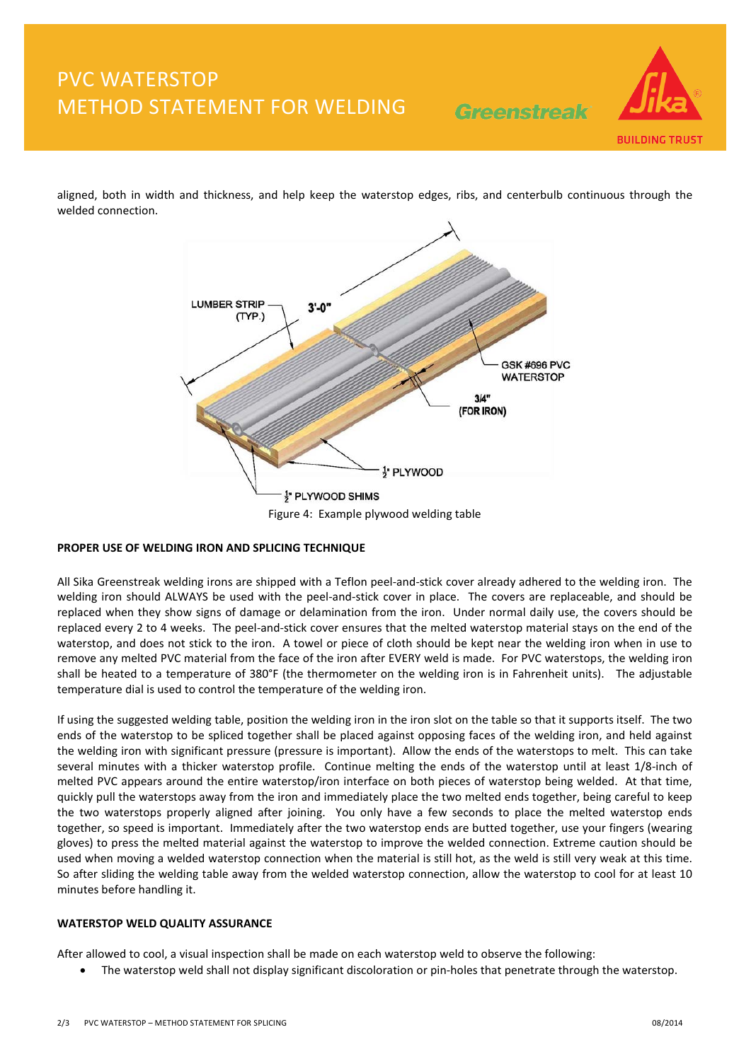### PVC WATERSTOP METHOD STATEMENT FOR WELDING

Greenstreak



aligned, both in width and thickness, and help keep the waterstop edges, ribs, and centerbulb continuous through the welded connection.



### **PROPER USE OF WELDING IRON AND SPLICING TECHNIQUE**

All Sika Greenstreak welding irons are shipped with a Teflon peel-and-stick cover already adhered to the welding iron. The welding iron should ALWAYS be used with the peel-and-stick cover in place. The covers are replaceable, and should be replaced when they show signs of damage or delamination from the iron. Under normal daily use, the covers should be replaced every 2 to 4 weeks. The peel-and-stick cover ensures that the melted waterstop material stays on the end of the waterstop, and does not stick to the iron. A towel or piece of cloth should be kept near the welding iron when in use to remove any melted PVC material from the face of the iron after EVERY weld is made. For PVC waterstops, the welding iron shall be heated to a temperature of 380°F (the thermometer on the welding iron is in Fahrenheit units). The adjustable temperature dial is used to control the temperature of the welding iron.

If using the suggested welding table, position the welding iron in the iron slot on the table so that it supports itself. The two ends of the waterstop to be spliced together shall be placed against opposing faces of the welding iron, and held against the welding iron with significant pressure (pressure is important). Allow the ends of the waterstops to melt. This can take several minutes with a thicker waterstop profile. Continue melting the ends of the waterstop until at least 1/8-inch of melted PVC appears around the entire waterstop/iron interface on both pieces of waterstop being welded. At that time, quickly pull the waterstops away from the iron and immediately place the two melted ends together, being careful to keep the two waterstops properly aligned after joining. You only have a few seconds to place the melted waterstop ends together, so speed is important. Immediately after the two waterstop ends are butted together, use your fingers (wearing gloves) to press the melted material against the waterstop to improve the welded connection. Extreme caution should be used when moving a welded waterstop connection when the material is still hot, as the weld is still very weak at this time. So after sliding the welding table away from the welded waterstop connection, allow the waterstop to cool for at least 10 minutes before handling it.

### **WATERSTOP WELD QUALITY ASSURANCE**

After allowed to cool, a visual inspection shall be made on each waterstop weld to observe the following:

• The waterstop weld shall not display significant discoloration or pin-holes that penetrate through the waterstop.